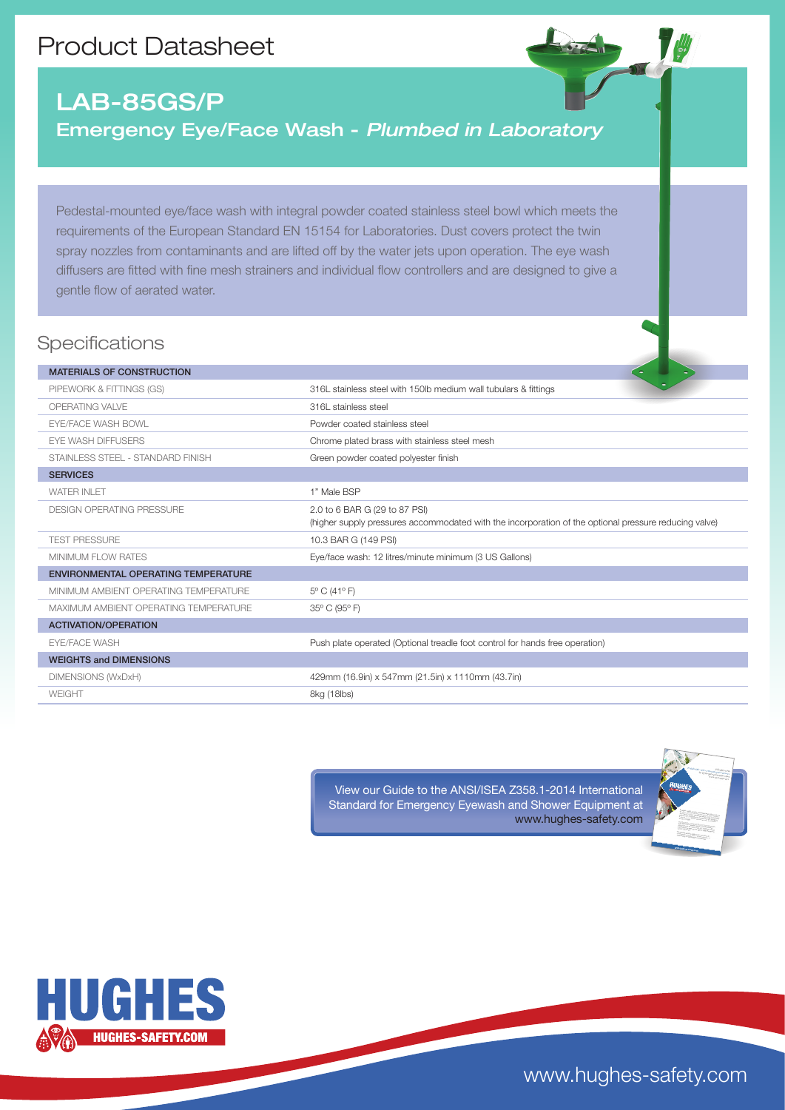## Product Datasheet

## LAB-85GS/P Emergency Eye/Face Wash - *Plumbed in Laboratory*

Pedestal-mounted eye/face wash with integral powder coated stainless steel bowl which meets the requirements of the European Standard EN 15154 for Laboratories. Dust covers protect the twin spray nozzles from contaminants and are lifted off by the water jets upon operation. The eye wash diffusers are fitted with fine mesh strainers and individual flow controllers and are designed to give a gentle flow of aerated water.

## **Specifications**

| <b>MATERIALS OF CONSTRUCTION</b>           |                                                                                                       |
|--------------------------------------------|-------------------------------------------------------------------------------------------------------|
| PIPEWORK & FITTINGS (GS)                   | 316L stainless steel with 150lb medium wall tubulars & fittings                                       |
| OPERATING VALVE                            | 316L stainless steel                                                                                  |
| <b>EYE/FACE WASH BOWL</b>                  | Powder coated stainless steel                                                                         |
| <b>EYE WASH DIFFUSERS</b>                  | Chrome plated brass with stainless steel mesh                                                         |
| STAINLESS STEEL - STANDARD FINISH          | Green powder coated polyester finish                                                                  |
| <b>SERVICES</b>                            |                                                                                                       |
| <b>WATER INLET</b>                         | 1" Male BSP                                                                                           |
| <b>DESIGN OPERATING PRESSURE</b>           | 2.0 to 6 BAR G (29 to 87 PSI)                                                                         |
|                                            | (higher supply pressures accommodated with the incorporation of the optional pressure reducing valve) |
| <b>TEST PRESSURE</b>                       | 10.3 BAR G (149 PSI)                                                                                  |
| <b>MINIMUM FLOW RATES</b>                  | Eye/face wash: 12 litres/minute minimum (3 US Gallons)                                                |
| <b>ENVIRONMENTAL OPERATING TEMPERATURE</b> |                                                                                                       |
| MINIMUM AMBIENT OPERATING TEMPERATURE      | 5° C (41° F)                                                                                          |
| MAXIMUM AMBIENT OPERATING TEMPERATURE      | 35° C (95° F)                                                                                         |
| <b>ACTIVATION/OPERATION</b>                |                                                                                                       |
| <b>EYE/FACE WASH</b>                       | Push plate operated (Optional treadle foot control for hands free operation)                          |
| <b>WEIGHTS and DIMENSIONS</b>              |                                                                                                       |
| DIMENSIONS (WxDxH)                         | 429mm (16.9in) x 547mm (21.5in) x 1110mm (43.7in)                                                     |
| <b>WEIGHT</b>                              | 8kg (18lbs)                                                                                           |

View our Guide to the ANSI/ISEA Z358.1-2014 International Standard for Emergency Eyewash and Shower Equipment at www.hughes-safety.com





www.hughes-safety.com